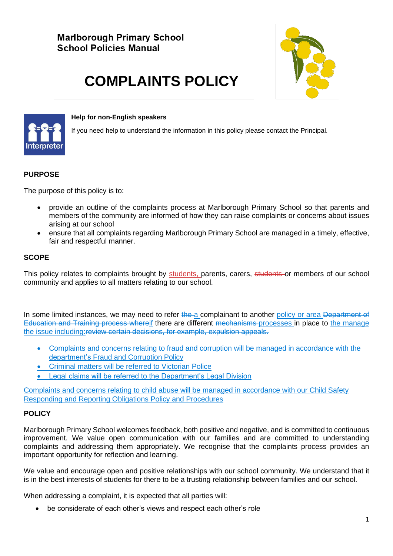# **Marlborough Primary School School Policies Manual**



# **COMPLAINTS POLICY**



#### **Help for non-English speakers**

If you need help to understand the information in this policy please contact the Principal.

#### **PURPOSE**

The purpose of this policy is to:

- provide an outline of the complaints process at Marlborough Primary School so that parents and members of the community are informed of how they can raise complaints or concerns about issues arising at our school
- ensure that all complaints regarding Marlborough Primary School are managed in a timely, effective, fair and respectful manner.

## **SCOPE**

This policy relates to complaints brought by students, parents, carers, students or members of our school community and applies to all matters relating to our school.

In some limited instances, we may need to refer the a complainant to another policy or area Department of Education and Training process whereif there are different mechanisms processes in place to the manage the issue including:review certain decisions, for example, expulsion appeals.

- Complaints and concerns relating to fraud and corruption will be managed in accordance with the department's [Fraud and Corruption Policy](https://www2.education.vic.gov.au/pal/report-fraud-or-corruption/overview)
- Criminal matters will be referred to Victorian Police
- Legal claims will be referred to the Department's Legal Division

Complaints and concerns relating to child abuse will be managed in accordance with our Child Safety Responding and Reporting Obligations Policy and Procedures

#### **POLICY**

Marlborough Primary School welcomes feedback, both positive and negative, and is committed to continuous improvement. We value open communication with our families and are committed to understanding complaints and addressing them appropriately. We recognise that the complaints process provides an important opportunity for reflection and learning.

We value and encourage open and positive relationships with our school community. We understand that it is in the best interests of students for there to be a trusting relationship between families and our school.

When addressing a complaint, it is expected that all parties will:

• be considerate of each other's views and respect each other's role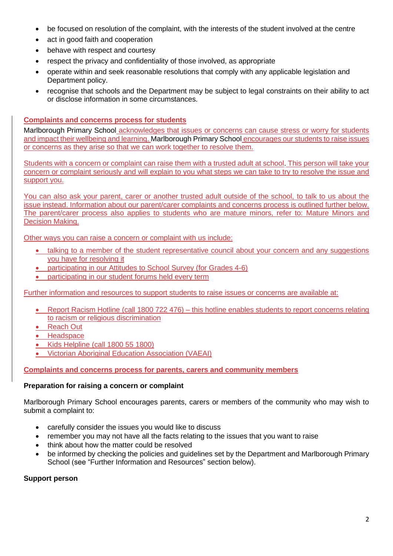- be focused on resolution of the complaint, with the interests of the student involved at the centre
- act in good faith and cooperation
- behave with respect and courtesy
- respect the privacy and confidentiality of those involved, as appropriate
- operate within and seek reasonable resolutions that comply with any applicable legislation and Department policy.
- recognise that schools and the Department may be subject to legal constraints on their ability to act or disclose information in some circumstances.

#### **Complaints and concerns process for students**

Marlborough Primary School acknowledges that issues or concerns can cause stress or worry for students and impact their wellbeing and learning. Marlborough Primary School encourages our students to raise issues or concerns as they arise so that we can work together to resolve them.

Students with a concern or complaint can raise them with a trusted adult at school. This person will take your concern or complaint seriously and will explain to you what steps we can take to try to resolve the issue and support you.

You can also ask your parent, carer or another trusted adult outside of the school, to talk to us about the issue instead. Information about our parent/carer complaints and concerns process is outlined further below. The parent/carer process also applies to students who are mature minors, refer to: [Mature Minors and](https://www2.education.vic.gov.au/pal/mature-minors-and-decision-making/policy)  [Decision Making.](https://www2.education.vic.gov.au/pal/mature-minors-and-decision-making/policy)

Other ways you can raise a concern or complaint with us include:

- talking to a member of the student representative council about your concern and any suggestions you have for resolving it
- participating in our Attitudes to School Survey (for Grades 4-6)
- participating in our student forums held every term

Further information and resources to support students to raise issues or concerns are available at:

- [Report Racism Hotline](https://www.vic.gov.au/report-racism-or-religious-discrimination-schools) (call 1800 722 476) this hotline enables students to report concerns relating to racism or religious discrimination
- [Reach Out](https://au.reachout.com/?gclid=CjwKCAiAgbiQBhAHEiwAuQ6BktaB5xneGFK3TnOql5c5eZ7af7dDm9ffLZa7N59FEtbtQzVIk8sGWhoC8N0QAvD_BwE)
- [Headspace](https://headspace.org.au/)
- [Kids Helpline](https://kidshelpline.com.au/?gclid=CjwKCAiAgbiQBhAHEiwAuQ6Bkro6UD2EBcRILznFnRhKjfi5I84jJlUa0fyiiYLQ4mHx5sXTStxH8BoCCEIQAvD_BwE) (call 1800 55 1800)

• [Victorian Aboriginal Education Association](https://www.vaeai.org.au/) (VAEAI)

**Complaints and concerns process for parents, carers and community members**

#### **Preparation for raising a concern or complaint**

Marlborough Primary School encourages parents, carers or members of the community who may wish to submit a complaint to:

- carefully consider the issues you would like to discuss
- remember you may not have all the facts relating to the issues that you want to raise
- think about how the matter could be resolved
- be informed by checking the policies and guidelines set by the Department and Marlborough Primary School (see "Further Information and Resources" section below).

#### **Support person**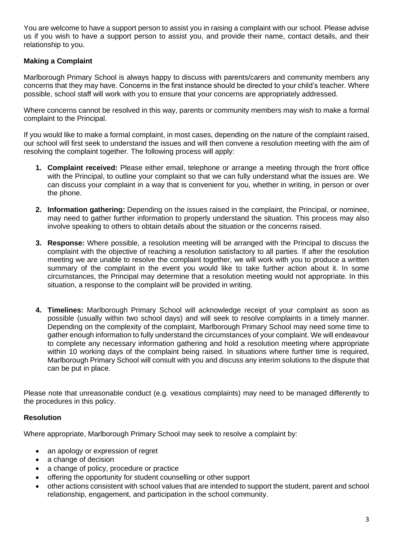You are welcome to have a support person to assist you in raising a complaint with our school. Please advise us if you wish to have a support person to assist you, and provide their name, contact details, and their relationship to you.

# **Making a Complaint**

Marlborough Primary School is always happy to discuss with parents/carers and community members any concerns that they may have. Concerns in the first instance should be directed to your child's teacher. Where possible, school staff will work with you to ensure that your concerns are appropriately addressed.

Where concerns cannot be resolved in this way, parents or community members may wish to make a formal complaint to the Principal.

If you would like to make a formal complaint, in most cases, depending on the nature of the complaint raised, our school will first seek to understand the issues and will then convene a resolution meeting with the aim of resolving the complaint together. The following process will apply:

- **1. Complaint received:** Please either email, telephone or arrange a meeting through the front office with the Principal, to outline your complaint so that we can fully understand what the issues are. We can discuss your complaint in a way that is convenient for you, whether in writing, in person or over the phone.
- **2. Information gathering:** Depending on the issues raised in the complaint, the Principal, or nominee, may need to gather further information to properly understand the situation. This process may also involve speaking to others to obtain details about the situation or the concerns raised.
- **3. Response:** Where possible, a resolution meeting will be arranged with the Principal to discuss the complaint with the objective of reaching a resolution satisfactory to all parties. If after the resolution meeting we are unable to resolve the complaint together, we will work with you to produce a written summary of the complaint in the event you would like to take further action about it. In some circumstances, the Principal may determine that a resolution meeting would not appropriate. In this situation, a response to the complaint will be provided in writing.
- **4. Timelines:** Marlborough Primary School will acknowledge receipt of your complaint as soon as possible (usually within two school days) and will seek to resolve complaints in a timely manner. Depending on the complexity of the complaint, Marlborough Primary School may need some time to gather enough information to fully understand the circumstances of your complaint. We will endeavour to complete any necessary information gathering and hold a resolution meeting where appropriate within 10 working days of the complaint being raised. In situations where further time is required, Marlborough Primary School will consult with you and discuss any interim solutions to the dispute that can be put in place.

Please note that unreasonable conduct (e.g. vexatious complaints) may need to be managed differently to the procedures in this policy.

# **Resolution**

Where appropriate, Marlborough Primary School may seek to resolve a complaint by:

- an apology or expression of regret
- a change of decision
- a change of policy, procedure or practice
- offering the opportunity for student counselling or other support
- other actions consistent with school values that are intended to support the student, parent and school relationship, engagement, and participation in the school community.